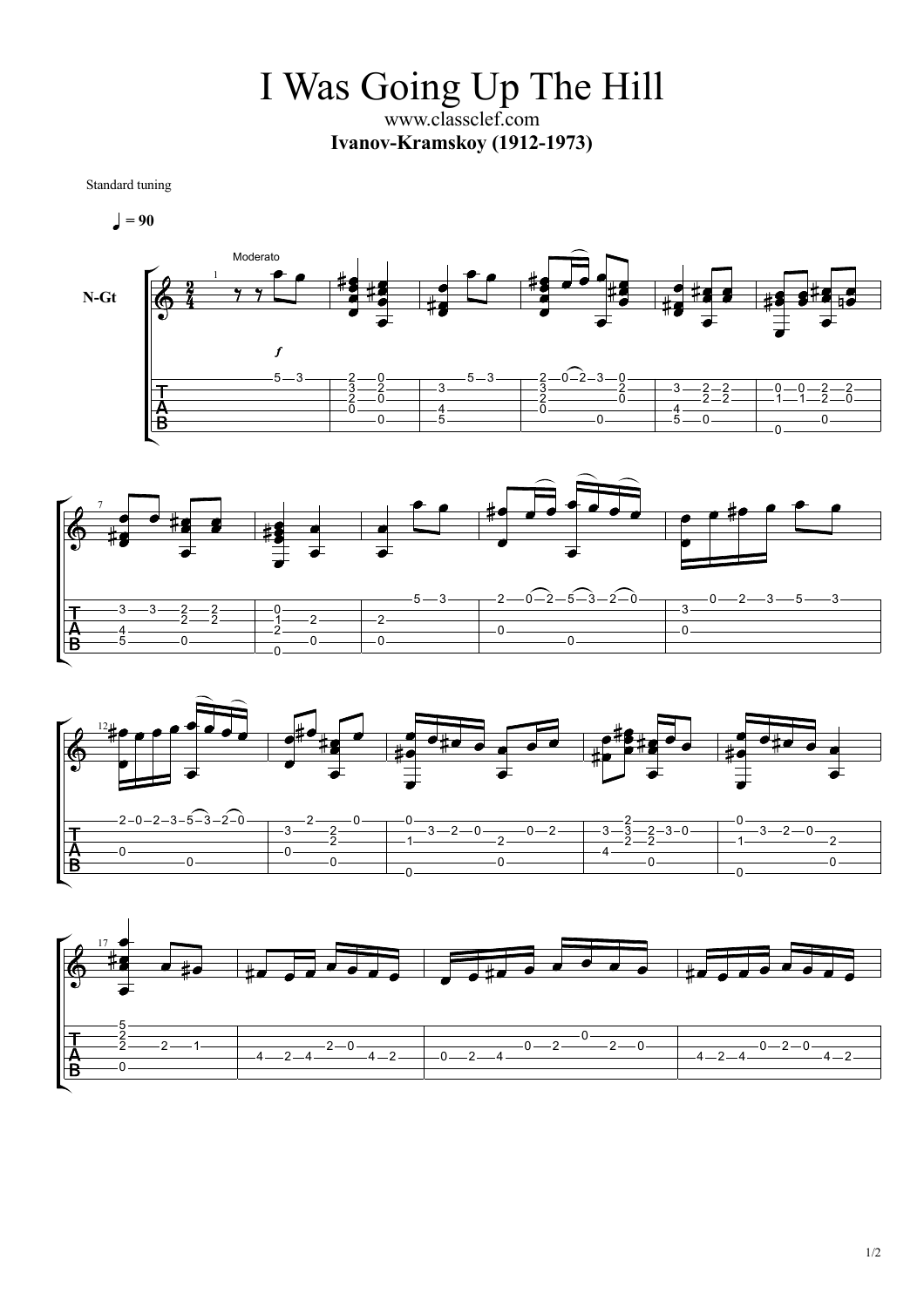I Was Going Up The Hill www.classclef.com **Ivanov-Kramskoy (1912-1973)**

Standard tuning

$$
\bullet = 90
$$